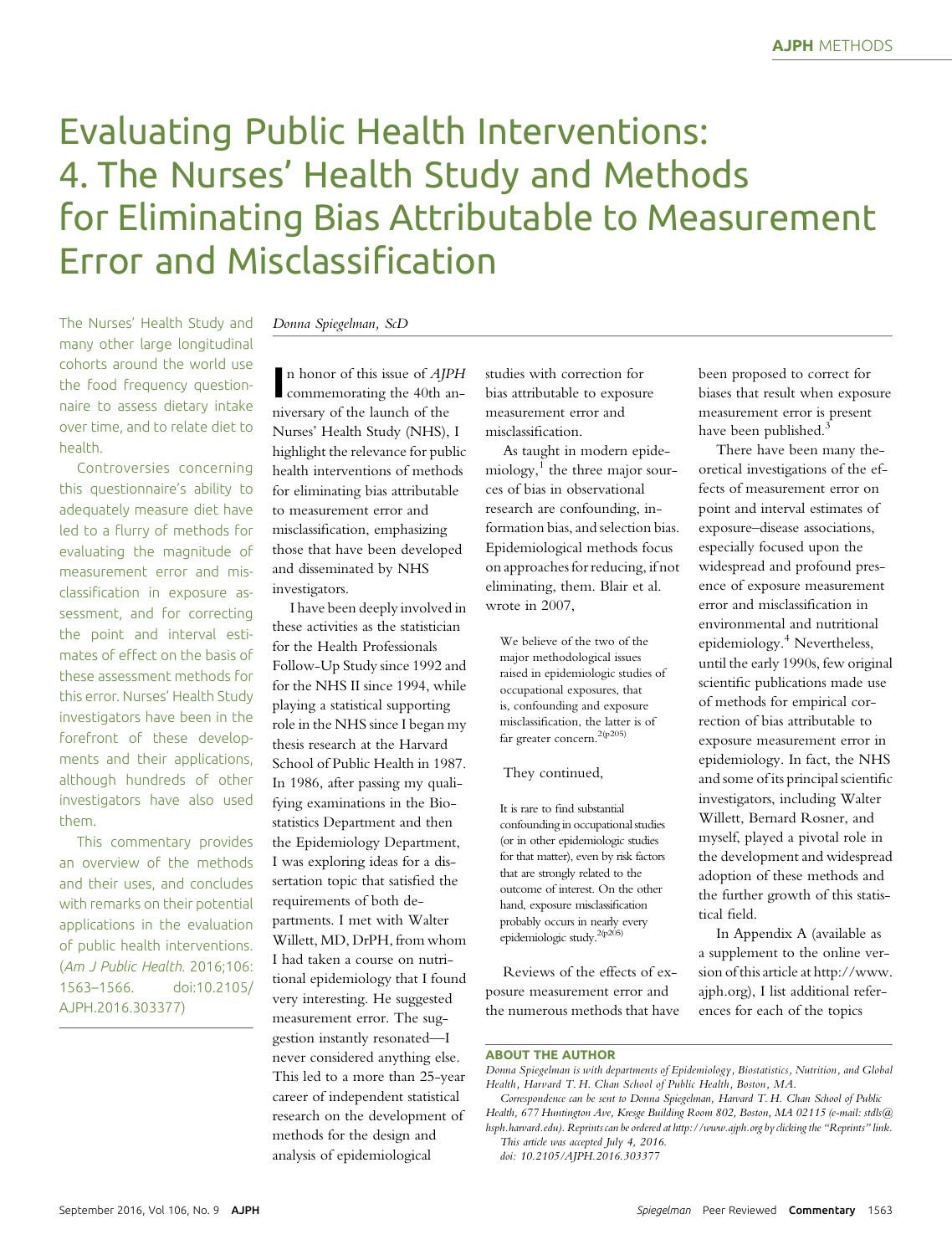# Evaluating Public Health Interventions: 4. The Nurses' Health Study and Methods for Eliminating Bias Attributable to Measurement Error and Misclassification

The Nurses' Health Study and many other large longitudinal cohorts around the world use the food frequency questionnaire to assess dietary intake over time, and to relate diet to health.

Controversies concerning this questionnaire's ability to adequately measure diet have led to a flurry of methods for evaluating the magnitude of measurement error and misclassification in exposure assessment, and for correcting the point and interval estimates of effect on the basis of these assessment methods for this error. Nurses' Health Study investigators have been in the forefront of these developments and their applications, although hundreds of other investigators have also used them.

This commentary provides an overview of the methods and their uses, and concludes with remarks on their potential applications in the evaluation of public health interventions. (Am J Public Health. 2016;106:<br>1563–1566. doi:10.2105/ 1563–1566. doi:10.2105/ AJPH.2016.303377)

#### Donna Spiegelman, ScD

n honor of this issue of *AJPH*<br>commemorating the 40th ann honor of this issue of AJPH niversary of the launch of the Nurses' Health Study (NHS), I highlight the relevance for public health interventions of methods for eliminating bias attributable to measurement error and misclassification, emphasizing those that have been developed and disseminated by NHS investigators.

I have been deeply involved in these activities as the statistician for the Health Professionals Follow-Up Study since 1992 and for the NHS II since 1994, while playing a statistical supporting role in the NHS since I began my thesis research at the Harvard School of Public Health in 1987. In 1986, after passing my qualifying examinations in the Biostatistics Department and then the Epidemiology Department, I was exploring ideas for a dissertation topic that satisfied the requirements of both departments. I met with Walter Willett, MD, DrPH, from whom I had taken a course on nutritional epidemiology that I found very interesting. He suggested measurement error. The suggestion instantly resonated—I never considered anything else. This led to a more than 25-year career of independent statistical research on the development of methods for the design and analysis of epidemiological

studies with correction for bias attributable to exposure measurement error and misclassification.

As taught in modern epidemiology, $<sup>1</sup>$  the three major sour-</sup> ces of bias in observational research are confounding, information bias, and selection bias. Epidemiological methods focus on approaches for reducing, if not eliminating, them. Blair et al. wrote in 2007,

We believe of the two of the major methodological issues raised in epidemiologic studies of occupational exposures, that is, confounding and exposure misclassification, the latter is of far greater concern.<sup>2(p205)</sup>

#### They continued,

It is rare to find substantial confounding in occupational studies (or in other epidemiologic studies for that matter), even by risk factors that are strongly related to the outcome of interest. On the other hand, exposure misclassification probably occurs in nearly every epidemiologic study.2(p205)

Reviews of the effects of exposure measurement error and the numerous methods that have been proposed to correct for biases that result when exposure measurement error is present have been published.<sup>3</sup>

There have been many theoretical investigations of the effects of measurement error on point and interval estimates of exposure–disease associations, especially focused upon the widespread and profound presence of exposure measurement error and misclassification in environmental and nutritional epidemiology.<sup>4</sup> Nevertheless, until the early 1990s, few original scientific publications made use of methods for empirical correction of bias attributable to exposure measurement error in epidemiology. In fact, the NHS and some of its principal scientific investigators, including Walter Willett, Bernard Rosner, and myself, played a pivotal role in the development and widespread adoption of these methods and the further growth of this statistical field.

In Appendix A (available as a supplement to the online version of this article at [http://www.](http://www.ajph.org) [ajph.org\)](http://www.ajph.org), I list additional references for each of the topics

#### ABOUT THE AUTHOR

Donna Spiegelman is with departments of Epidemiology, Biostatistics, Nutrition, and Global Health, Harvard T. H. Chan School of Public Health, Boston, MA.

Correspondence can be sent to Donna Spiegelman, Harvard T. H. Chan School of Public Health, 677 Huntington Ave, Kresge Building Room 802, Boston, MA 02115 (e-mail: [stdls@](mailto:stdls@hsph.harvard.edu) [hsph.harvard.edu](mailto:stdls@hsph.harvard.edu)). Reprints can be ordered at<http://www.ajph.org> by clicking the "Reprints" link. This article was accepted July 4, 2016.

doi: 10.2105/AJPH.2016.303377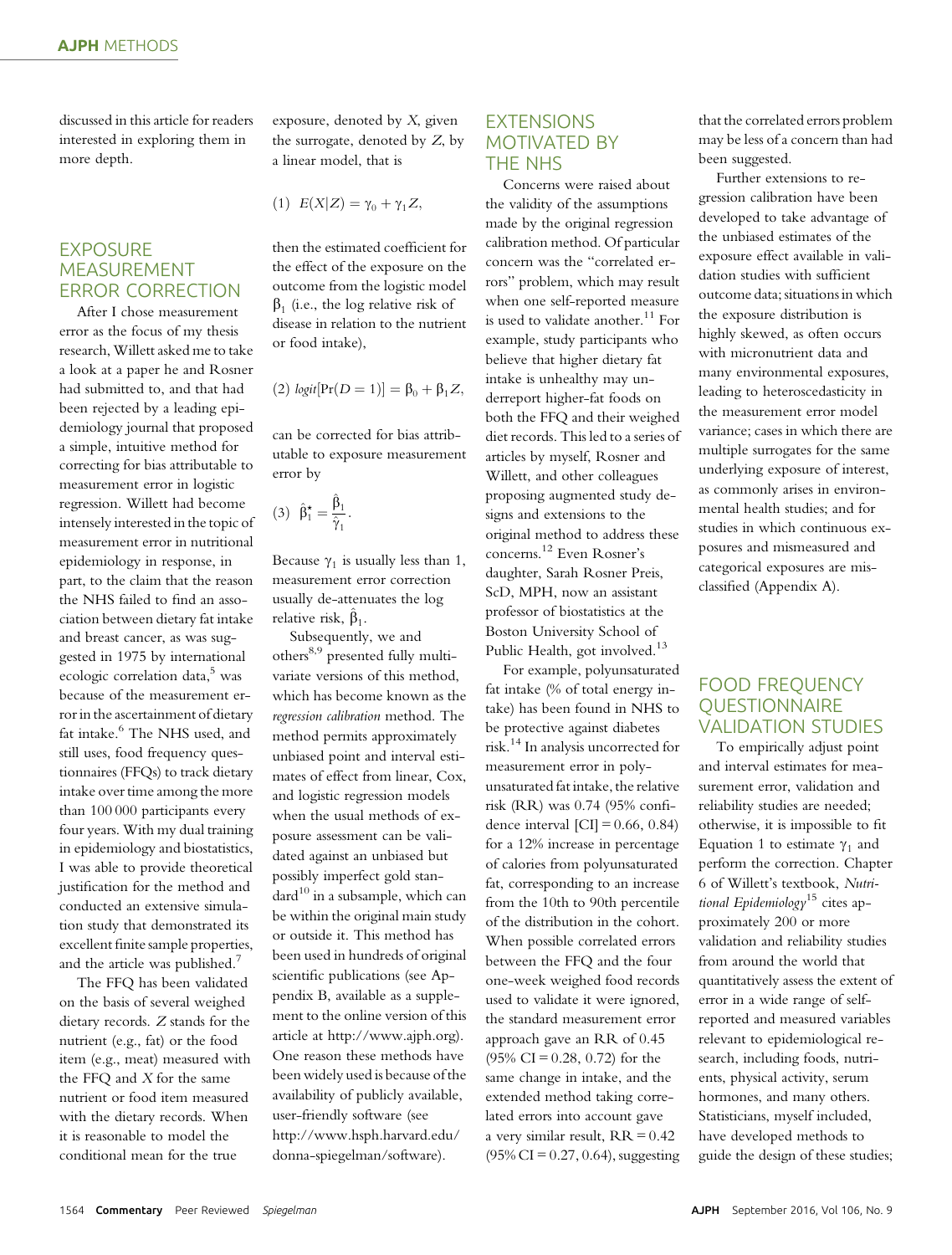discussed in this article for readers interested in exploring them in more depth.

# EXPOSURE MEASUREMENT ERROR CORRECTION

After I chose measurement error as the focus of my thesis research, Willett asked me to take a look at a paper he and Rosner had submitted to, and that had been rejected by a leading epidemiology journal that proposed a simple, intuitive method for correcting for bias attributable to measurement error in logistic regression. Willett had become intensely interested in the topic of measurement error in nutritional epidemiology in response, in part, to the claim that the reason the NHS failed to find an association between dietary fat intake and breast cancer, as was suggested in 1975 by international ecologic correlation data,<sup>5</sup> was because of the measurement error in the ascertainment of dietary fat intake.<sup>6</sup> The NHS used, and still uses, food frequency questionnaires (FFQs) to track dietary intake over time among the more than 100 000 participants every four years. With my dual training in epidemiology and biostatistics, I was able to provide theoretical justification for the method and conducted an extensive simulation study that demonstrated its excellent finite sample properties, and the article was published.<sup>7</sup>

The FFQ has been validated on the basis of several weighed dietary records. Z stands for the nutrient (e.g., fat) or the food item (e.g., meat) measured with the FFQ and X for the same nutrient or food item measured with the dietary records. When it is reasonable to model the conditional mean for the true

exposure, denoted by X, given the surrogate, denoted by Z, by a linear model, that is

$$
(1) E(X|Z) = \gamma_0 + \gamma_1 Z,
$$

then the estimated coefficient for the effect of the exposure on the outcome from the logistic model  $\beta_1$  (i.e., the log relative risk of disease in relation to the nutrient or food intake),

(2)  $logit[Pr(D = 1)] = \beta_0 + \beta_1 Z,$ 

can be corrected for bias attributable to exposure measurement error by

$$
(3) \ \hat{\beta}_1^{\star} = \frac{\hat{\beta}_1}{\hat{\gamma}_1}.
$$

Because  $\gamma_1$  is usually less than 1, measurement error correction usually de-attenuates the log relative risk,  $\hat{\beta}_1$ .

Subsequently, we and others<sup>8,9</sup> presented fully multivariate versions of this method, which has become known as the regression calibration method. The method permits approximately unbiased point and interval estimates of effect from linear, Cox, and logistic regression models when the usual methods of exposure assessment can be validated against an unbiased but possibly imperfect gold stan- $\text{dard}^{10}$  in a subsample, which can be within the original main study or outside it. This method has been used in hundreds of original scientific publications (see Appendix B, available as a supplement to the online version of this article at<http://www.ajph.org>). One reason these methods have been widely used is because of the availability of publicly available, user-friendly software (see [http://www.hsph.harvard.edu/](http://www.hsph.harvard.edu/donna-spiegelman/software) [donna-spiegelman/software](http://www.hsph.harvard.edu/donna-spiegelman/software)).

## EXTENSIONS MOTIVATED BY THE NHS

Concerns were raised about the validity of the assumptions made by the original regression calibration method. Of particular concern was the "correlated errors" problem, which may result when one self-reported measure is used to validate another.<sup>11</sup> For example, study participants who believe that higher dietary fat intake is unhealthy may underreport higher-fat foods on both the FFQ and their weighed diet records. This led to a series of articles by myself, Rosner and Willett, and other colleagues proposing augmented study designs and extensions to the original method to address these concerns.<sup>12</sup> Even Rosner's daughter, Sarah Rosner Preis, ScD, MPH, now an assistant professor of biostatistics at the Boston University School of Public Health, got involved.<sup>13</sup>

For example, polyunsaturated fat intake (% of total energy intake) has been found in NHS to be protective against diabetes risk.<sup>14</sup> In analysis uncorrected for measurement error in polyunsaturated fat intake, the relative risk (RR) was 0.74 (95% confidence interval  $\text{[CI]} = 0.66, 0.84$ for a 12% increase in percentage of calories from polyunsaturated fat, corresponding to an increase from the 10th to 90th percentile of the distribution in the cohort. When possible correlated errors between the FFQ and the four one-week weighed food records used to validate it were ignored, the standard measurement error approach gave an RR of 0.45  $(95\% \text{ CI} = 0.28, 0.72)$  for the same change in intake, and the extended method taking correlated errors into account gave a very similar result,  $RR = 0.42$  $(95\% \text{ CI} = 0.27, 0.64)$ , suggesting

that the correlated errors problem may be less of a concern than had been suggested.

Further extensions to regression calibration have been developed to take advantage of the unbiased estimates of the exposure effect available in validation studies with sufficient outcome data; situations in which the exposure distribution is highly skewed, as often occurs with micronutrient data and many environmental exposures, leading to heteroscedasticity in the measurement error model variance; cases in which there are multiple surrogates for the same underlying exposure of interest, as commonly arises in environmental health studies; and for studies in which continuous exposures and mismeasured and categorical exposures are misclassified (Appendix A).

# FOOD FREQUENCY **OUESTIONNAIRE** VALIDATION STUDIES

To empirically adjust point and interval estimates for measurement error, validation and reliability studies are needed; otherwise, it is impossible to fit Equation 1 to estimate  $\gamma_1$  and perform the correction. Chapter 6 of Willett's textbook, Nutritional Epidemiology<sup>15</sup> cites approximately 200 or more validation and reliability studies from around the world that quantitatively assess the extent of error in a wide range of selfreported and measured variables relevant to epidemiological research, including foods, nutrients, physical activity, serum hormones, and many others. Statisticians, myself included, have developed methods to guide the design of these studies;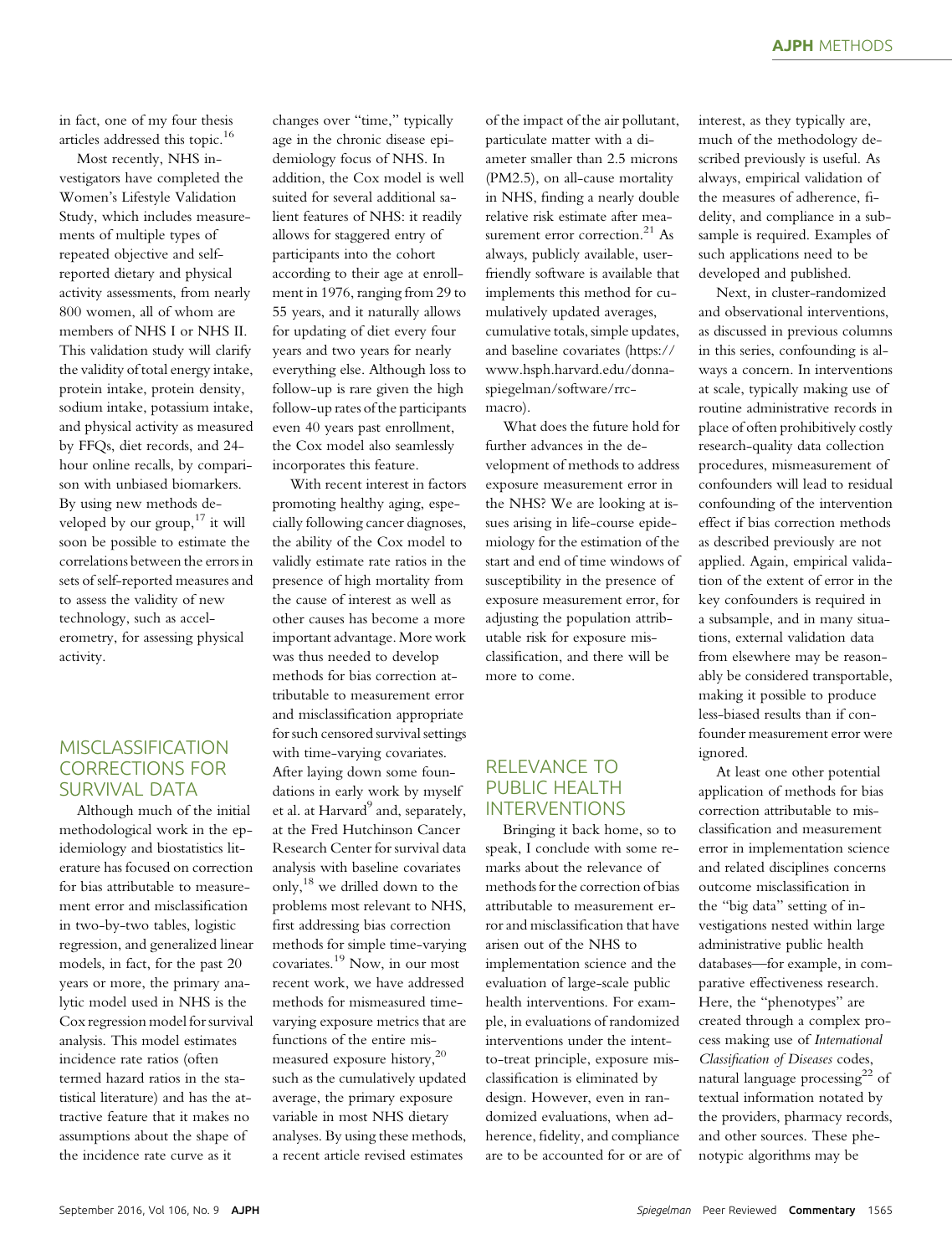in fact, one of my four thesis articles addressed this topic.<sup>16</sup>

Most recently, NHS investigators have completed the Women's Lifestyle Validation Study, which includes measurements of multiple types of repeated objective and selfreported dietary and physical activity assessments, from nearly 800 women, all of whom are members of NHS I or NHS II. This validation study will clarify the validity of total energy intake, protein intake, protein density, sodium intake, potassium intake, and physical activity as measured by FFQs, diet records, and 24 hour online recalls, by comparison with unbiased biomarkers. By using new methods developed by our group, $17$  it will soon be possible to estimate the correlations between the errors in sets of self-reported measures and to assess the validity of new technology, such as accelerometry, for assessing physical activity.

## MISCLASSIFICATION CORRECTIONS FOR SURVIVAL DATA

Although much of the initial methodological work in the epidemiology and biostatistics literature has focused on correction for bias attributable to measurement error and misclassification in two-by-two tables, logistic regression, and generalized linear models, in fact, for the past 20 years or more, the primary analytic model used in NHS is the Cox regression model for survival analysis. This model estimates incidence rate ratios (often termed hazard ratios in the statistical literature) and has the attractive feature that it makes no assumptions about the shape of the incidence rate curve as it

changes over "time," typically age in the chronic disease epidemiology focus of NHS. In addition, the Cox model is well suited for several additional salient features of NHS: it readily allows for staggered entry of participants into the cohort according to their age at enrollment in 1976, ranging from 29 to 55 years, and it naturally allows for updating of diet every four years and two years for nearly everything else. Although loss to follow-up is rare given the high follow-up rates of the participants even 40 years past enrollment, the Cox model also seamlessly incorporates this feature.

With recent interest in factors promoting healthy aging, especially following cancer diagnoses, the ability of the Cox model to validly estimate rate ratios in the presence of high mortality from the cause of interest as well as other causes has become a more important advantage. More work was thus needed to develop methods for bias correction attributable to measurement error and misclassification appropriate for such censored survival settings with time-varying covariates. After laying down some foundations in early work by myself et al. at Harvard<sup>9</sup> and, separately, at the Fred Hutchinson Cancer Research Center for survival data analysis with baseline covariates only,<sup>18</sup> we drilled down to the problems most relevant to NHS, first addressing bias correction methods for simple time-varying covariates.<sup>19</sup> Now, in our most recent work, we have addressed methods for mismeasured timevarying exposure metrics that are functions of the entire mismeasured exposure history,<sup>20</sup> such as the cumulatively updated average, the primary exposure variable in most NHS dietary analyses. By using these methods, a recent article revised estimates

of the impact of the air pollutant, particulate matter with a diameter smaller than 2.5 microns (PM2.5), on all-cause mortality in NHS, finding a nearly double relative risk estimate after measurement error correction.<sup>21</sup> As always, publicly available, userfriendly software is available that implements this method for cumulatively updated averages, cumulative totals, simple updates, and baseline covariates ([https://](https://www.hsph.harvard.edu/donna-spiegelman/software/rrc-macro) [www.hsph.harvard.edu/donna](https://www.hsph.harvard.edu/donna-spiegelman/software/rrc-macro)[spiegelman/software/rrc](https://www.hsph.harvard.edu/donna-spiegelman/software/rrc-macro)[macro](https://www.hsph.harvard.edu/donna-spiegelman/software/rrc-macro)).

What does the future hold for further advances in the development of methods to address exposure measurement error in the NHS? We are looking at issues arising in life-course epidemiology for the estimation of the start and end of time windows of susceptibility in the presence of exposure measurement error, for adjusting the population attributable risk for exposure misclassification, and there will be more to come.

# RELEVANCE TO PUBLIC HEALTH INTERVENTIONS

Bringing it back home, so to speak, I conclude with some remarks about the relevance of methods for the correction of bias attributable to measurement error and misclassification that have arisen out of the NHS to implementation science and the evaluation of large-scale public health interventions. For example, in evaluations of randomized interventions under the intentto-treat principle, exposure misclassification is eliminated by design. However, even in randomized evaluations, when adherence, fidelity, and compliance are to be accounted for or are of interest, as they typically are, much of the methodology described previously is useful. As always, empirical validation of the measures of adherence, fidelity, and compliance in a subsample is required. Examples of such applications need to be developed and published.

Next, in cluster-randomized and observational interventions, as discussed in previous columns in this series, confounding is always a concern. In interventions at scale, typically making use of routine administrative records in place of often prohibitively costly research-quality data collection procedures, mismeasurement of confounders will lead to residual confounding of the intervention effect if bias correction methods as described previously are not applied. Again, empirical validation of the extent of error in the key confounders is required in a subsample, and in many situations, external validation data from elsewhere may be reasonably be considered transportable, making it possible to produce less-biased results than if confounder measurement error were ignored.

At least one other potential application of methods for bias correction attributable to misclassification and measurement error in implementation science and related disciplines concerns outcome misclassification in the "big data" setting of investigations nested within large administrative public health databases—for example, in comparative effectiveness research. Here, the "phenotypes" are created through a complex process making use of International Classification of Diseases codes, natural language processing $22$  of textual information notated by the providers, pharmacy records, and other sources. These phenotypic algorithms may be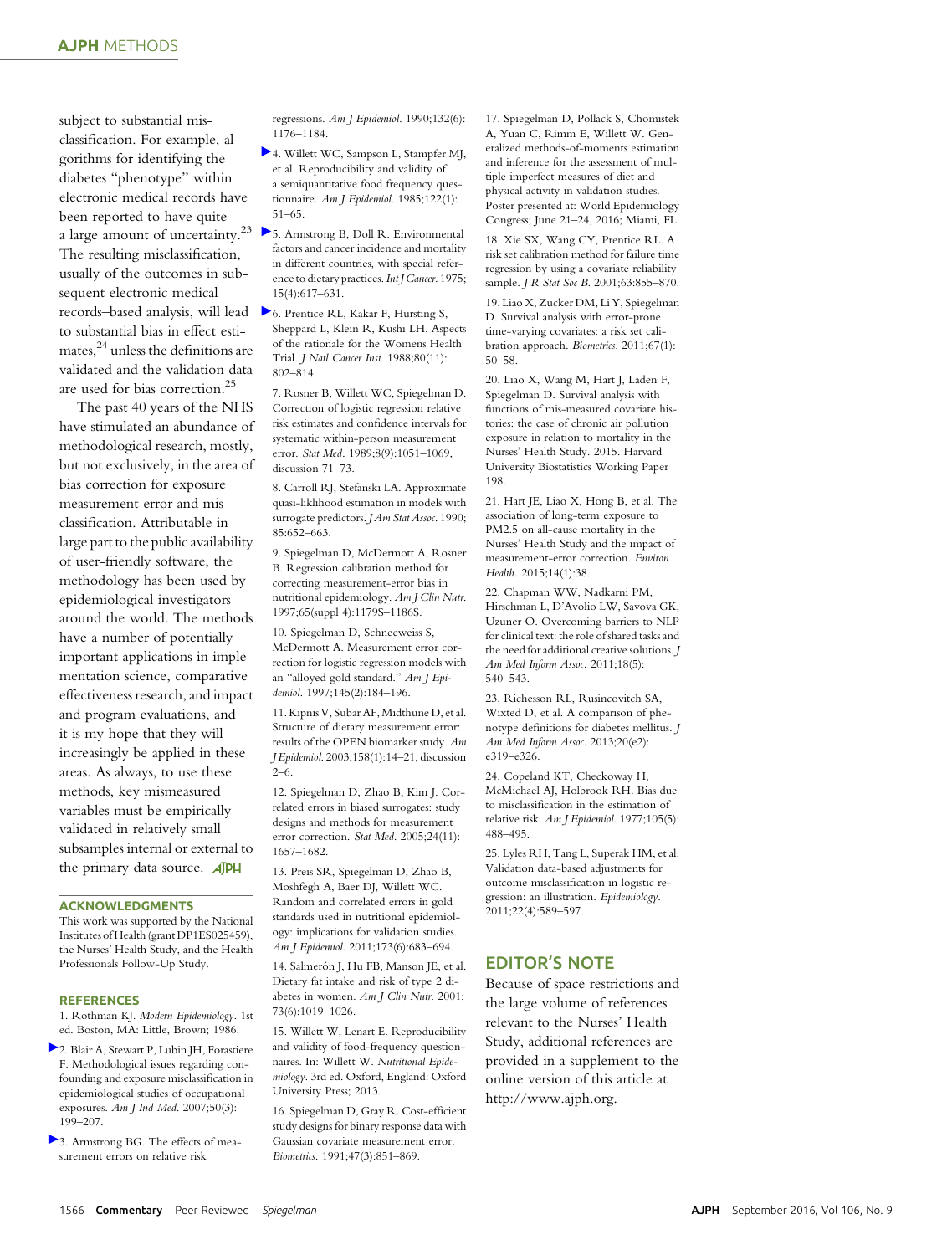subject to substantial misclassification. For example, algorithms for identifying the diabetes "phenotype" within electronic medical records have been reported to have quite a large amount of uncertainty.<sup>23</sup>  $\triangleright$  [5](https://ajph.aphapublications.org/action/showLinks?doi=10.2105%2FAJPH.2016.303377&pmid=1140864&crossref=10.1002%2Fijc.2910150411&citationId=p_5). Armstrong B, Doll R. Environmental The resulting misclassification, usually of the outcomes in subsequent electronic medical records–based analysis, will lead [6](https://ajph.aphapublications.org/action/showLinks?doi=10.2105%2FAJPH.2016.303377&pmid=3292773&crossref=10.1093%2Fjnci%2F80.11.802&citationId=p_6). Prentice RL, Kakar F, Hursting S, to substantial bias in effect estimates, $24$  unless the definitions are validated and the validation data are used for bias correction.<sup>25</sup>

The past 40 years of the NHS have stimulated an abundance of methodological research, mostly, but not exclusively, in the area of bias correction for exposure measurement error and misclassification. Attributable in large part to the public availability of user-friendly software, the methodology has been used by epidemiological investigators around the world. The methods have a number of potentially important applications in implementation science, comparative effectiveness research, and impact and program evaluations, and it is my hope that they will increasingly be applied in these areas. As always, to use these methods, key mismeasured variables must be empirically validated in relatively small subsamples internal or external to the primary data source. **AJPH** 

#### ACKNOWLEDGMENTS

This work was supported by the National Institutes of Health (grant DP1ES025459), the Nurses' Health Study, and the Health Professionals Follow-Up Study.

#### **REFERENCES**

1. Rothman KJ. Modern Epidemiology. 1st ed. Boston, MA: Little, Brown; 1986.

- [2](https://ajph.aphapublications.org/action/showLinks?doi=10.2105%2FAJPH.2016.303377&pmid=17096363&crossref=10.1002%2Fajim.20281&citationId=p_2). Blair A, Stewart P, Lubin JH, Forastiere F. Methodological issues regarding confounding and exposure misclassification in epidemiological studies of occupational exposures. Am J Ind Med. 2007;50(3): 199–207.
- [3](https://ajph.aphapublications.org/action/showLinks?doi=10.2105%2FAJPH.2016.303377&pmid=2260550&crossref=10.1093%2Foxfordjournals.aje.a115761&citationId=p_3). Armstrong BG. The effects of measurement errors on relative risk

regressions. Am J Epidemiol. 1990;132(6): 1176–1184.

- [4](https://ajph.aphapublications.org/action/showLinks?doi=10.2105%2FAJPH.2016.303377&pmid=4014201&crossref=10.1093%2Foxfordjournals.aje.a114086&citationId=p_4). Willett WC, Sampson L, Stampfer MJ, et al. Reproducibility and validity of a semiquantitative food frequency questionnaire. Am J Epidemiol. 1985;122(1): 51–65.
- factors and cancer incidence and mortality in different countries, with special reference to dietary practices. Int J Cancer. 1975; 15(4):617–631.
- Sheppard L, Klein R, Kushi LH. Aspects of the rationale for the Womens Health Trial. J Natl Cancer Inst. 1988;80(11): 802–814.

7. Rosner B, Willett WC, Spiegelman D. Correction of logistic regression relative risk estimates and confidence intervals for systematic within-person measurement error. Stat Med. 1989;8(9):1051–1069, discussion 71–73.

8. Carroll RJ, Stefanski LA. Approximate quasi-liklihood estimation in models with surrogate predictors. J Am Stat Assoc. 1990; 85:652–663.

9. Spiegelman D, McDermott A, Rosner B. Regression calibration method for correcting measurement-error bias in nutritional epidemiology. Am J Clin Nutr. 1997;65(suppl 4):1179S–1186S.

10. Spiegelman D, Schneeweiss S, McDermott A. Measurement error correction for logistic regression models with an "alloyed gold standard." Am J Epidemiol. 1997;145(2):184–196.

11. Kipnis V, Subar AF, Midthune D, et al. Structure of dietary measurement error: results of the OPEN biomarker study. Am J Epidemiol. 2003;158(1):14–21, discussion 2–6.

12. Spiegelman D, Zhao B, Kim J. Correlated errors in biased surrogates: study designs and methods for measurement error correction. Stat Med. 2005;24(11): 1657–1682.

13. Preis SR, Spiegelman D, Zhao B, Moshfegh A, Baer DJ, Willett WC. Random and correlated errors in gold standards used in nutritional epidemiology: implications for validation studies. Am J Epidemiol. 2011;173(6):683–694.

14. Salmerón J, Hu FB, Manson JE, et al. Dietary fat intake and risk of type 2 diabetes in women. Am J Clin Nutr. 2001; 73(6):1019–1026.

15. Willett W, Lenart E. Reproducibility and validity of food-frequency questionnaires. In: Willett W. Nutritional Epidemiology. 3rd ed. Oxford, England: Oxford University Press; 2013.

16. Spiegelman D, Gray R. Cost-efficient study designs for binary response data with Gaussian covariate measurement error. Biometrics. 1991;47(3):851–869.

17. Spiegelman D, Pollack S, Chomistek A, Yuan C, Rimm E, Willett W. Generalized methods-of-moments estimation and inference for the assessment of multiple imperfect measures of diet and physical activity in validation studies. Poster presented at: World Epidemiology Congress; June 21–24, 2016; Miami, FL.

18. Xie SX, Wang CY, Prentice RL. A risk set calibration method for failure time regression by using a covariate reliability sample. *J R Stat Soc B*. 2001;63:855-870.

19. Liao X, Zucker DM, Li Y, Spiegelman D. Survival analysis with error-prone time-varying covariates: a risk set calibration approach. Biometrics. 2011;67(1): 50–58.

20. Liao X, Wang M, Hart J, Laden F, Spiegelman D. Survival analysis with functions of mis-measured covariate histories: the case of chronic air pollution exposure in relation to mortality in the Nurses' Health Study. 2015. Harvard University Biostatistics Working Paper 198.

21. Hart JE, Liao X, Hong B, et al. The association of long-term exposure to PM2.5 on all-cause mortality in the Nurses' Health Study and the impact of measurement-error correction. Environ Health. 2015;14(1):38.

22. Chapman WW, Nadkarni PM, Hirschman L, D'Avolio LW, Savova GK, Uzuner O. Overcoming barriers to NLP for clinical text: the role of shared tasks and the need for additional creative solutions. J Am Med Inform Assoc. 2011;18(5): 540–543.

23. Richesson RL, Rusincovitch SA, Wixted D, et al. A comparison of phenotype definitions for diabetes mellitus. J Am Med Inform Assoc. 2013;20(e2): e319–e326.

24. Copeland KT, Checkoway H, McMichael AJ, Holbrook RH. Bias due to misclassification in the estimation of relative risk. Am J Epidemiol. 1977;105(5): 488–495.

25. Lyles RH, Tang L, Superak HM, et al. Validation data-based adjustments for outcome misclassification in logistic regression: an illustration. Epidemiology. 2011;22(4):589–597.

### EDITOR'S NOTE

Because of space restrictions and the large volume of references relevant to the Nurses' Health Study, additional references are provided in a supplement to the online version of this article at [http://www.ajph.org.](http://www.ajph.org)